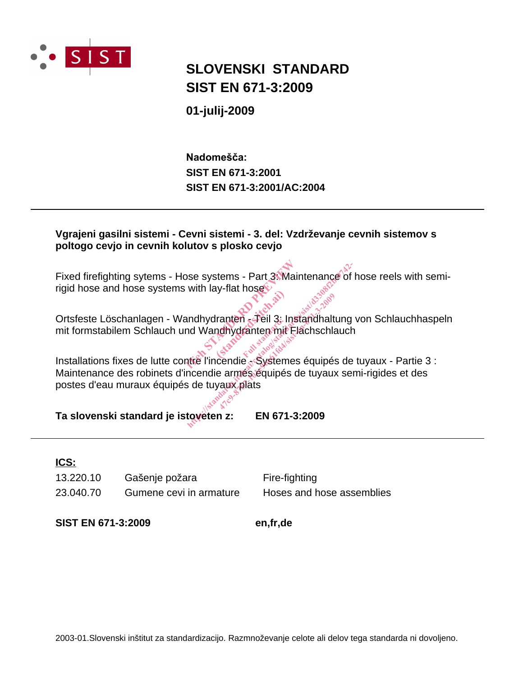

# **SIST EN 671-3:2009 SLOVENSKI STANDARD**

**01-julij-2009**

**SIST EN 671-3:2001/AC:2004 SIST EN 671-3:2001** Nadomešča:

# **Vgrajeni gasilni sistemi - Cevni sistemi - 3. del: Vzdrževanje cevnih sistemov s poltogo cevjo in cevnih kolutov s plosko cevjo**

Installations fixes de lutte contre l'incendie - Systemes équipés de tuyaux - Partie 3 :<br>
Installations fixes de lutte contre l'incendie - Systemes équipés de tuyaux - Partie 3 : Fixed firefighting sytems - Hose systems - Part 3: Maintenance of hose reels with semirigid hose and hose systems with lay-flat hose  $\hat{v}$ 

Ortsfeste Löschanlagen - Wandhydranten - Teil 3: Instandhaltung von Schlauchhaspeln mit formstabilem Schlauch und Wandhydranten mit Flachschlauch (standards.item.ai) Ful standard

Maintenance des robinets d'incendie armés équipés de tuyaux semi-rigides et des postes d'eau muraux équipés de tuyaux plats ht ps://with lay-flat hose<br>indhydranten.com<br>andhydranten.com<br>ind Wandhydranten.mit Elachschlauch<br>index and the lincendie are sequipes de tuyaux plats<br>of the distribution of the distribution of the distribution of the distr enten Freil 3: Instandhalt<br>Involtanten mit Flachschland<br>Endie 1910e 1910e 1910e 1920<br>Sendie 1920e 1920e 1921<br>Le armés équipés de tuyaux<br>Plats

**Ta slovenski standard je istoveten z: EN 671-3:2009**

# **ICS:**

23.040.70 Gumene cevi in armature Hoses and hose assemblies 13.220.10 Gašenje požara Fire-fighting

**SIST EN 671-3:2009 en,fr,de**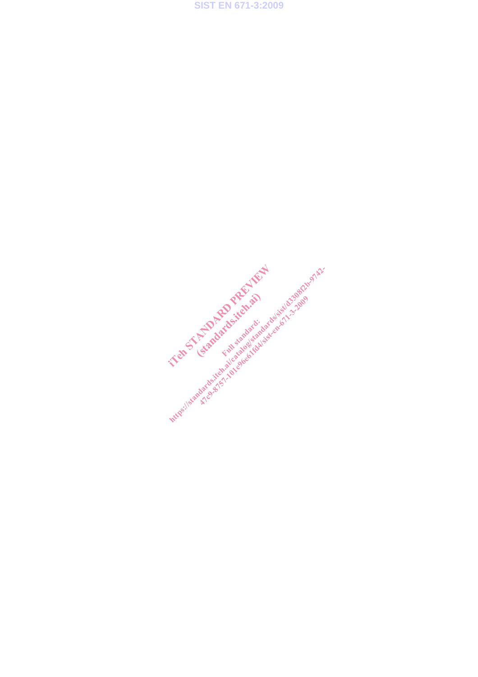**SIST EN 671-3:2009** 

Interest is an analysis of the transfer of the state of the construction of the construction of the construction of the construction of the construction of the construction of the construction of the construction of the co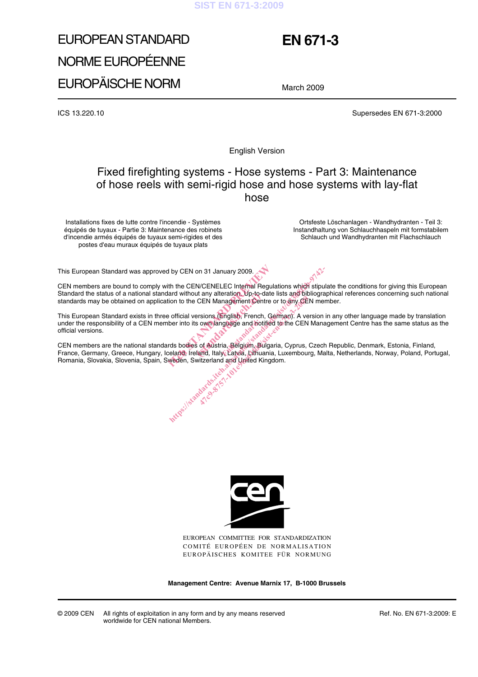#### **SIST EN 671-3:2009**

# EUROPEAN STANDARD NORME EUROPÉENNE EUROPÄISCHE NORM

# **EN 671-3**

March 2009

ICS 13.220.10 Supersedes EN 671-3:2000

English Version

# Fixed firefighting systems - Hose systems - Part 3: Maintenance of hose reels with semi-rigid hose and hose systems with lay-flat hose

Installations fixes de lutte contre l'incendie - Systèmes équipés de tuyaux - Partie 3: Maintenance des robinets d'incendie armés équipés de tuyaux semi-rigides et des postes d'eau muraux équipés de tuyaux plats

Ortsfeste Löschanlagen - Wandhydranten - Teil 3: Instandhaltung von Schlauchhaspeln mit formstabilem Schlauch und Wandhydranten mit Flachschlauch

This European Standard was approved by CEN on 31 January 2009.

CEN members are bound to comply with the CEN/CENELEC Internal Regulations which stipulate the conditions for giving this European Standard the status of a national standard without any alteration. Up-to-date lists and bibliographical references concerning such national standards may be obtained on application to the CEN Management Centre or to any CEN member. If by CEN on 31 January 2009.<br>
ith the CEN/CENELEC Internal Regulations<br>
lard without any alteration. Up-to-date lists<br>
tion to the CEN Management. Centre or to-<br>
a official versions (English, French, German<br>
ber into its ht the CEN/CENELEC Internal Regulations which stipula<br>and without any alteration. Up-to-date lists and bibliograph<br>ion to the CEN Management Centre or to any CEN memn<br>official versions. English, French, Germany. A version

This European Standard exists in three official versions (English, French, German). A version in any other language made by translation under the responsibility of a CEN member into its own language and notified to the CEN Management Centre has the same status as the official versions. The CEN Management Centre<br>Frisions (English, French, sound<br>anglege and hotif<br>So with anglege and hotif<br>So for Austria, Belgium, Bull<br>Hand, Italy, Latvia, Lithuan

CEN members are the national standards bodies of Austria, Belgium, Bulgaria, Cyprus, Czech Republic, Denmark, Estonia, Finland, France, Germany, Greece, Hungary, Iceland, Ireland, Italy, Latvia, Lithuania, Luxembourg, Malta, Netherlands, Norway, Poland, Portugal, Romania, Slovakia, Slovenia, Spain, Sweden, Switzerland and United Kingdom. ERN Management Centre or to any CE<br>
SEN Management Centre or to any CE<br>
sions (English, French, German). A ve<br>
own language and notified to the CEN<br>
of Austria, Belgium, Bulgaria, Cyprus,<br>
and, Italy, Latvia, Lithuania, Lu



EUROPEAN COMMITTEE FOR STANDARDIZATION COMITÉ EUROPÉEN DE NORMALISATION EUROPÄISCHES KOMITEE FÜR NORMUNG

**Management Centre: Avenue Marnix 17, B-1000 Brussels**

© 2009 CEN All rights of exploitation in any form and by any means reserved worldwide for CEN national Members.

Ref. No. EN 671-3:2009: E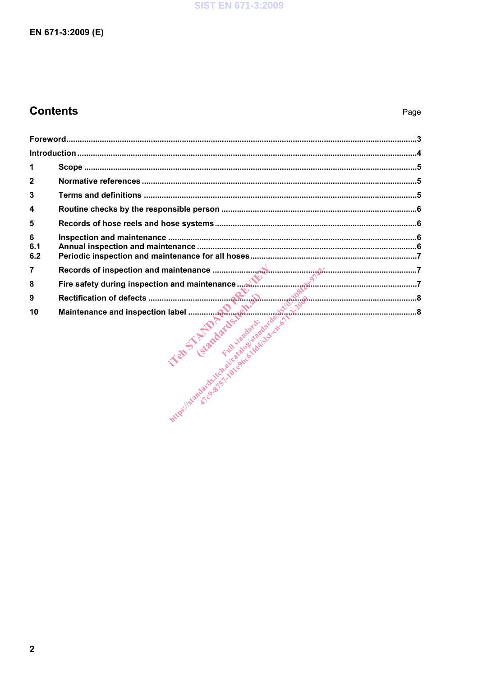# EN 671-3:2009 (E)

# **Contents**

| 1                |  |  |
|------------------|--|--|
| $\mathbf{2}$     |  |  |
| 3                |  |  |
| 4                |  |  |
| 5                |  |  |
| 6<br>6.1<br>6.2  |  |  |
| $\overline{7}$   |  |  |
| 8                |  |  |
| $\boldsymbol{9}$ |  |  |
| 10               |  |  |
|                  |  |  |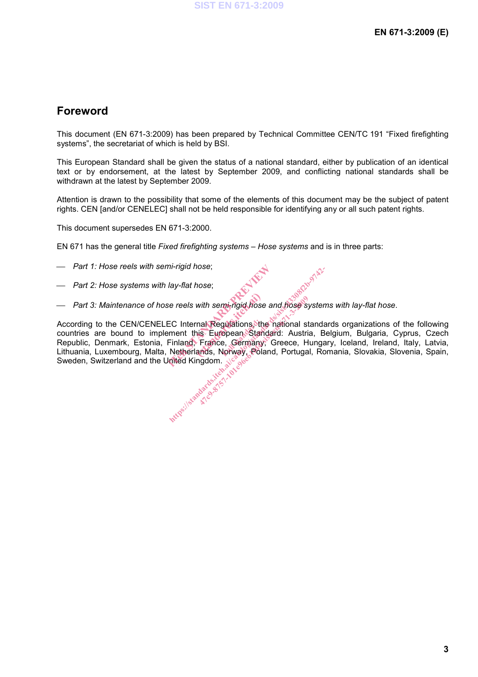# **Foreword**

This document (EN 671-3:2009) has been prepared by Technical Committee CEN/TC 191 "Fixed firefighting systems", the secretariat of which is held by BSI.

This European Standard shall be given the status of a national standard, either by publication of an identical text or by endorsement, at the latest by September 2009, and conflicting national standards shall be withdrawn at the latest by September 2009.

Attention is drawn to the possibility that some of the elements of this document may be the subject of patent rights. CEN [and/or CENELEC] shall not be held responsible for identifying any or all such patent rights.

This document supersedes EN 671-3:2000.

EN 671 has the general title *Fixed firefighting systems – Hose systems* and is in three parts:

- *Part 1: Hose reels with semi-rigid hose*;
- *Part 2: Hose systems with lay-flat hose*;
- *Part 3: Maintenance of hose reels with semi-rigid hose and hose systems with lay-flat hose*.

According to the CEN/CENELEC Internal Regulations, the national standards organizations of the following countries are bound to implement this European Standard: Austria, Belgium, Bulgaria, Cyprus, Czech Republic, Denmark, Estonia, Finland, France, Germany, Greece, Hungary, Iceland, Ireland, Italy, Latvia, Lithuania, Luxembourg, Malta, Netherlands, Norway, Poland, Portugal, Romania, Slovakia, Slovenia, Spain, Sweden, Switzerland and the United Kingdom. ni-rigid hose;<br>
lay-flat hose;<br>
se reels with semi-rigid hose and h<br>
EC Internal Regulations, the nation<br>
ment this European Standard:<br>
Finland, France, Germany, Gree<br>
Netherlands, Norway, Poland, Poland, Poland Standard: with semi-rigid hose<br>That Regulations, the<br>Trance, Germany,<br>Ands, Norway, Pola https://standards.iteh.ai/catalogues/sistem.<br>in right hose;<br>in the psilon set of the property of the real free system.<br>in this European Standard: Austria, Be-<br>Finland, France, Germany, Greece, Hungar<br>Netherlands, Norway, P with semi-rigid hose and hose sy<br>hal Regulations, the hational star<br>is European Standard: Austri<br>France, Germany, Greece, H<br>inds, Norway, Poland, Portuga<br>igdom. is to get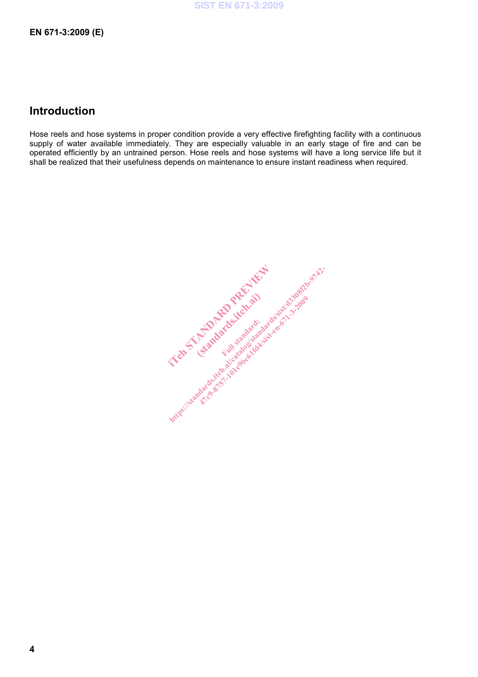# **Introduction**

Hose reels and hose systems in proper condition provide a very effective firefighting facility with a continuous supply of water available immediately. They are especially valuable in an early stage of fire and can be operated efficiently by an untrained person. Hose reels and hose systems will have a long service life but it shall be realized that their usefulness depends on maintenance to ensure instant readiness when required.

IT and The Assessment of the Assessment of the Assessment of the Assessment of the Assessment of the Assessment of the Assessment of the Assessment of the Assessment of the Assessment of the Assessment of the Assessment of Examples Religions wthe<sup>s://standards.iteh.ai/catalog.edu.ai/catalog.edu.ai/catalog.edu.ai/catalog.edu.ai/catalog.edu.ai/catalog.edu.ai/catalog.edu.ai/catalog.edu.ai/catalog.edu.ai/catalog.edu.ai/catalog.edu.ai/catalog.edu.ai/catalog.edu.ai/</sup> March 11 statester, en-671-3-2009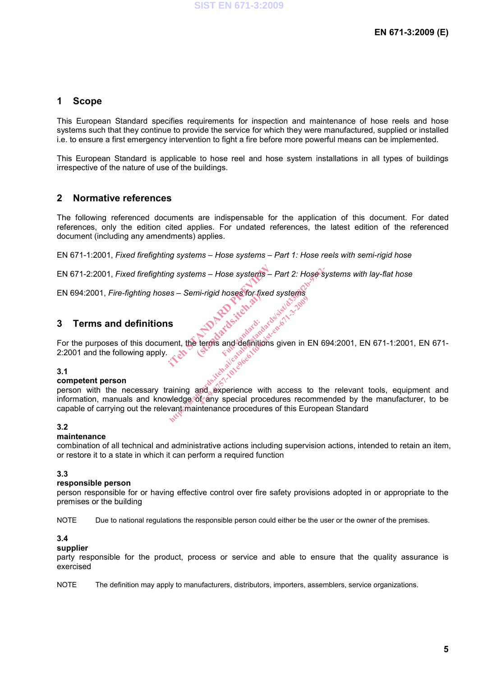## **1 Scope**

This European Standard specifies requirements for inspection and maintenance of hose reels and hose systems such that they continue to provide the service for which they were manufactured, supplied or installed i.e. to ensure a first emergency intervention to fight a fire before more powerful means can be implemented.

This European Standard is applicable to hose reel and hose system installations in all types of buildings irrespective of the nature of use of the buildings.

## **2 Normative references**

The following referenced documents are indispensable for the application of this document. For dated references, only the edition cited applies. For undated references, the latest edition of the referenced document (including any amendments) applies.

EN 671-1:2001, *Fixed firefighting systems – Hose systems – Part 1: Hose reels with semi-rigid hose*

EN 671-2:2001, *Fixed firefighting systems – Hose systems – Part 2: Hose systems with lay-flat hose* 

EN 694:2001, *Fire-fighting hoses – Semi-rigid hoses for fixed systems*

## **3 Terms and definitions**

For the purposes of this document, the terms and definitions given in EN 694:2001, EN 671-1:2001, EN 671- 2:2001 and the following apply. person with the necessary training and experience with access to the relevant tools, equipment and person with the necessary training and experience with access to the relevant tools, equipment and international and definitions give m-rigid noses rol tixe

#### **3.1**

#### **competent person**

information, manuals and knowledge of any special procedures recommended by the manufacturer, to be capable of carrying out the relevant maintenance procedures of this European Standard http://www.aiking.in.com/sistems-<br>http://www.ai/catalogue.org/sistems-<br>Secondards.iteh.ai/catalogue.org/sistems<br>and definitions given in EN 69<br>aining and experience with access to the<br>viewer and experience with access to t 420 Meta-875-101e96e61fterms and definitions given in I

#### **3.2**

#### **maintenance**

combination of all technical and administrative actions including supervision actions, intended to retain an item, or restore it to a state in which it can perform a required function

#### **3.3**

#### **responsible person**

person responsible for or having effective control over fire safety provisions adopted in or appropriate to the premises or the building

NOTE Due to national regulations the responsible person could either be the user or the owner of the premises.

#### **3.4**

#### **supplier**

party responsible for the product, process or service and able to ensure that the quality assurance is exercised

NOTE The definition may apply to manufacturers, distributors, importers, assemblers, service organizations.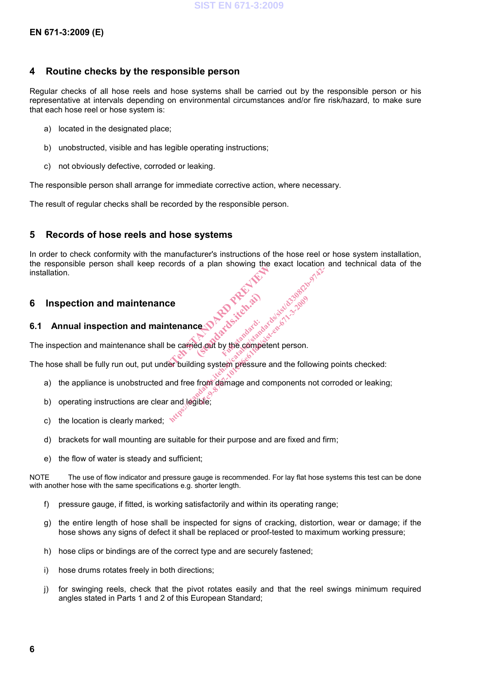#### **4 Routine checks by the responsible person**

Regular checks of all hose reels and hose systems shall be carried out by the responsible person or his representative at intervals depending on environmental circumstances and/or fire risk/hazard, to make sure that each hose reel or hose system is:

- a) located in the designated place;
- b) unobstructed, visible and has legible operating instructions;
- c) not obviously defective, corroded or leaking.

The responsible person shall arrange for immediate corrective action, where necessary.

The result of regular checks shall be recorded by the responsible person.

## **5 Records of hose reels and hose systems**

In order to check conformity with the manufacturer's instructions of the hose reel or hose system installation, the responsible person shall keep records of a plan showing the exact location and technical data of the installation. itenance OR Review of Standard Preview of the Completent per completent per completent per completent per completent per completent per completent per completent per completent per completent per completent per completent tenance properties and components not controlled in the completent person.<br>are building system pressure and the following<br>one carried out by the completent person.<br>and legible:<br>wive<sup>s:</sup>

#### **6 Inspection and maintenance**

# **6.1 Annual inspection and maintenance**

The inspection and maintenance shall be carried out by the competent person. e D Racio Pretendard: 420 Prediction of the state of the state of the state of the state of the state of the state of the state of the state of the state of the state of the state of the state of the state of the state of the state of the state

The hose shall be fully run out, put under building system pressure and the following points checked:

- a) the appliance is unobstructed and free from damage and components not corroded or leaking;
- b) operating instructions are clear and legible;
- c) the location is clearly marked;
- d) brackets for wall mounting are suitable for their purpose and are fixed and firm;
- e) the flow of water is steady and sufficient;

NOTE The use of flow indicator and pressure gauge is recommended. For lay flat hose systems this test can be done with another hose with the same specifications e.g. shorter length.

- f) pressure gauge, if fitted, is working satisfactorily and within its operating range;
- g) the entire length of hose shall be inspected for signs of cracking, distortion, wear or damage; if the hose shows any signs of defect it shall be replaced or proof-tested to maximum working pressure;
- h) hose clips or bindings are of the correct type and are securely fastened;
- i) hose drums rotates freely in both directions;
- j) for swinging reels, check that the pivot rotates easily and that the reel swings minimum required angles stated in Parts 1 and 2 of this European Standard;